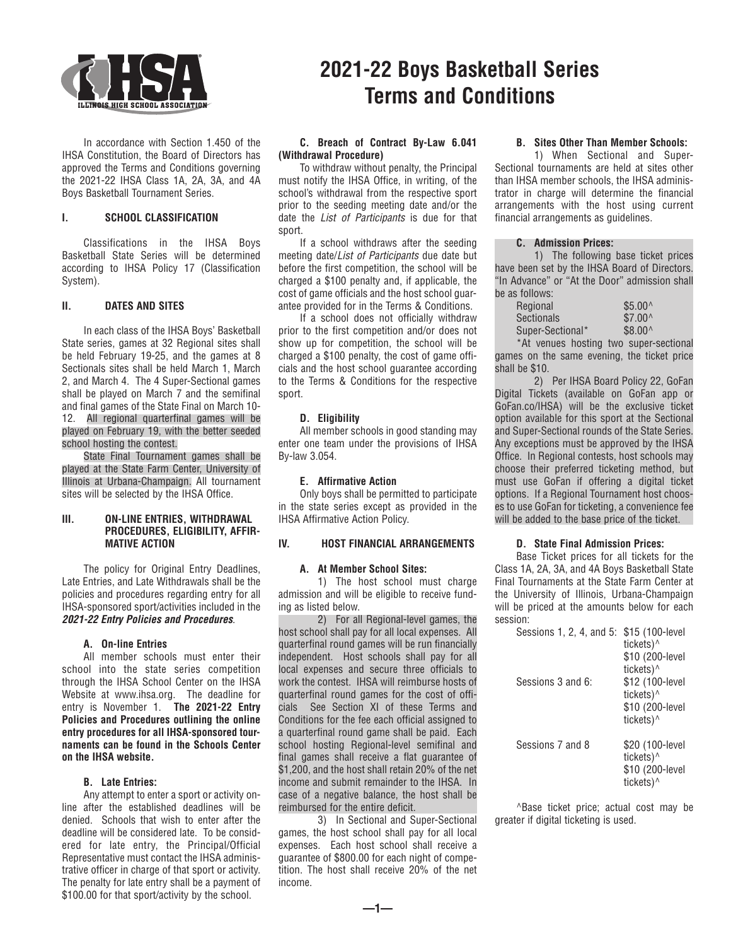

 In accordance with Section 1.450 of the IHSA Constitution, the Board of Directors has approved the Terms and Conditions governing the 2021-22 IHSA Class 1A, 2A, 3A, and 4A Boys Basketball Tournament Series.

## **I. SCHOOL CLASSIFICATION**

 Classifications in the IHSA Boys Basketball State Series will be determined according to IHSA Policy 17 (Classification System).

## **II. DATES AND SITES**

 In each class of the IHSA Boys' Basketball State series, games at 32 Regional sites shall be held February 19-25, and the games at 8 Sectionals sites shall be held March 1, March 2, and March 4. The 4 Super-Sectional games shall be played on March 7 and the semifinal and final games of the State Final on March 10- 12. All regional quarterfinal games will be played on February 19, with the better seeded school hosting the contest.

 State Final Tournament games shall be played at the State Farm Center, University of Illinois at Urbana-Champaign. All tournament sites will be selected by the IHSA Office.

## **III. ON-LINE ENTRIES, WITHDRAWAL PROCEDURES, ELIGIBILITY, AFFIR-MATIVE ACTION**

 The policy for Original Entry Deadlines, Late Entries, and Late Withdrawals shall be the policies and procedures regarding entry for all IHSA-sponsored sport/activities included in the *2021-22 Entry Policies and Procedures*.

## **A. On-line Entries**

 All member schools must enter their school into the state series competition through the IHSA School Center on the IHSA Website at www.ihsa.org. The deadline for entry is November 1. **The 2021-22 Entry Policies and Procedures outlining the online entry procedures for all IHSA-sponsored tournaments can be found in the Schools Center on the IHSA website.**

#### **B. Late Entries:**

 Any attempt to enter a sport or activity online after the established deadlines will be denied. Schools that wish to enter after the deadline will be considered late. To be considered for late entry, the Principal/Official Representative must contact the IHSA administrative officer in charge of that sport or activity. The penalty for late entry shall be a payment of \$100.00 for that sport/activity by the school.

# **2021-22 Boys Basketball Series Terms and Conditions**

## **C. Breach of Contract By-Law 6.041 (Withdrawal Procedure)**

 To withdraw without penalty, the Principal must notify the IHSA Office, in writing, of the school's withdrawal from the respective sport prior to the seeding meeting date and/or the date the *List of Participants* is due for that sport.

 If a school withdraws after the seeding meeting date/*List of Participants* due date but before the first competition, the school will be charged a \$100 penalty and, if applicable, the cost of game officials and the host school guarantee provided for in the Terms & Conditions.

 If a school does not officially withdraw prior to the first competition and/or does not show up for competition, the school will be charged a \$100 penalty, the cost of game officials and the host school guarantee according to the Terms & Conditions for the respective sport.

#### **D. Eligibility**

 All member schools in good standing may enter one team under the provisions of IHSA By-law 3.054.

#### **E. Affirmative Action**

Only boys shall be permitted to participate in the state series except as provided in the IHSA Affirmative Action Policy.

#### **IV. HOST FINANCIAL ARRANGEMENTS**

## **A. At Member School Sites:**

 1) The host school must charge admission and will be eligible to receive funding as listed below.

 2) For all Regional-level games, the host school shall pay for all local expenses. All quarterfinal round games will be run financially independent. Host schools shall pay for all local expenses and secure three officials to work the contest. IHSA will reimburse hosts of quarterfinal round games for the cost of officials See Section XI of these Terms and Conditions for the fee each official assigned to a quarterfinal round game shall be paid. Each school hosting Regional-level semifinal and final games shall receive a flat guarantee of \$1,200, and the host shall retain 20% of the net income and submit remainder to the IHSA. In case of a negative balance, the host shall be reimbursed for the entire deficit.

 3) In Sectional and Super-Sectional games, the host school shall pay for all local expenses. Each host school shall receive a guarantee of \$800.00 for each night of competition. The host shall receive 20% of the net income.

**—1—**

#### **B. Sites Other Than Member Schools:**

 1) When Sectional and Super-Sectional tournaments are held at sites other than IHSA member schools, the IHSA administrator in charge will determine the financial arrangements with the host using current financial arrangements as guidelines.

## **C. Admission Prices:**

 1) The following base ticket prices have been set by the IHSA Board of Directors. "In Advance" or "At the Door" admission shall be as follows:

| Regional          | $$5.00^{\circ}$ |
|-------------------|-----------------|
| <b>Sectionals</b> | $$7.00^$        |
| Super-Sectional*  | $$8.00^{\circ}$ |

 \*At venues hosting two super-sectional games on the same evening, the ticket price shall be \$10.

 2) Per IHSA Board Policy 22, GoFan Digital Tickets (available on GoFan app or GoFan.co/IHSA) will be the exclusive ticket option available for this sport at the Sectional and Super-Sectional rounds of the State Series. Any exceptions must be approved by the IHSA Office. In Regional contests, host schools may choose their preferred ticketing method, but must use GoFan if offering a digital ticket options. If a Regional Tournament host chooses to use GoFan for ticketing, a convenience fee will be added to the base price of the ticket.

#### **D. State Final Admission Prices:**

 Base Ticket prices for all tickets for the Class 1A, 2A, 3A, and 4A Boys Basketball State Final Tournaments at the State Farm Center at the University of Illinois, Urbana-Champaign will be priced at the amounts below for each session:

| Sessions 1, 2, 4, and 5: | \$15 (100-level<br>tickets) <sup>^</sup><br>\$10 (200-level<br>tickets) <sup>^</sup> |
|--------------------------|--------------------------------------------------------------------------------------|
| Sessions 3 and 6:        | \$12 (100-level<br>tickets) <sup>^</sup><br>\$10 (200-level<br>tickets) <sup>^</sup> |
| Sessions 7 and 8         | \$20 (100-level<br>tickets) <sup>^</sup><br>\$10 (200-level<br>tickets)^             |

 ^Base ticket price; actual cost may be greater if digital ticketing is used.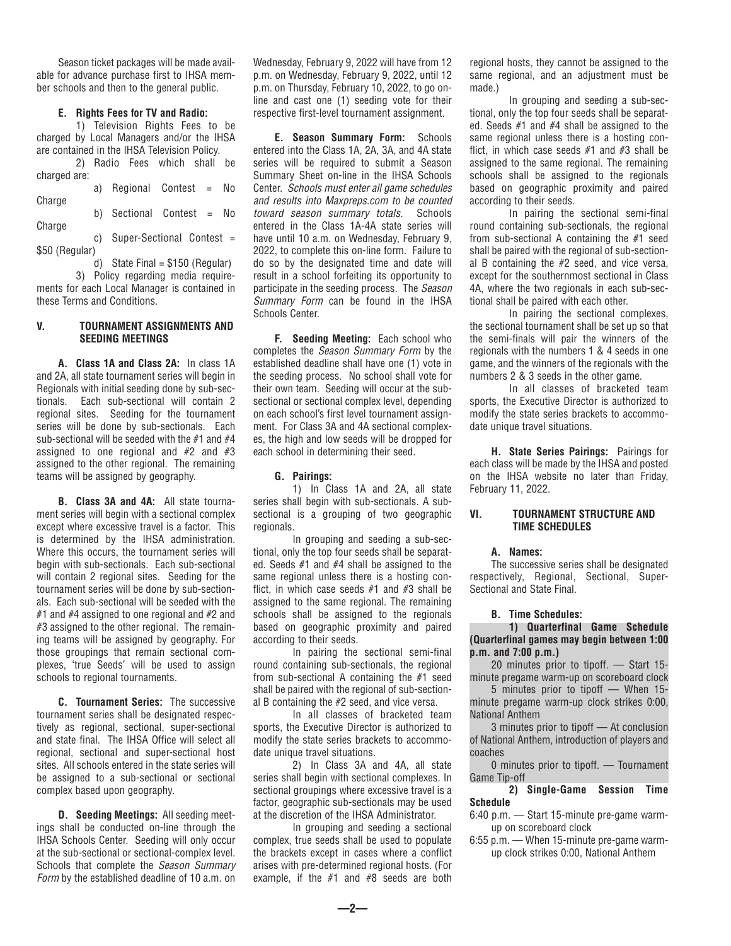Season ticket packages will be made available for advance purchase first to IHSA member schools and then to the general public.

#### **E. Rights Fees for TV and Radio:**

 1) Television Rights Fees to be charged by Local Managers and/or the IHSA are contained in the IHSA Television Policy.

 2) Radio Fees which shall be charged are: a) Regional Contest = No **Charge**  b) Sectional Contest = No **Charge** 

 c) Super-Sectional Contest = \$50 (Regular)

d) State Final =  $$150$  (Regular) 3) Policy regarding media requirements for each Local Manager is contained in these Terms and Conditions.

#### **V. TOURNAMENT ASSIGNMENTS AND SEEDING MEETINGS**

 **A. Class 1A and Class 2A:** In class 1A and 2A, all state tournament series will begin in Regionals with initial seeding done by sub-sectionals. Each sub-sectional will contain 2 regional sites. Seeding for the tournament series will be done by sub-sectionals. Each sub-sectional will be seeded with the  $#1$  and  $#4$ assigned to one regional and  $#2$  and  $#3$ assigned to the other regional. The remaining teams will be assigned by geography.

 **B. Class 3A and 4A:** All state tournament series will begin with a sectional complex except where excessive travel is a factor. This is determined by the IHSA administration. Where this occurs, the tournament series will begin with sub-sectionals. Each sub-sectional will contain 2 regional sites. Seeding for the tournament series will be done by sub-sectionals. Each sub-sectional will be seeded with the #1 and #4 assigned to one regional and #2 and #3 assigned to the other regional. The remaining teams will be assigned by geography. For those groupings that remain sectional complexes, 'true Seeds' will be used to assign schools to regional tournaments.

 **C. Tournament Series:** The successive tournament series shall be designated respectively as regional, sectional, super-sectional and state final. The IHSA Office will select all regional, sectional and super-sectional host sites. All schools entered in the state series will be assigned to a sub-sectional or sectional complex based upon geography.

 **D. Seeding Meetings:** All seeding meetings shall be conducted on-line through the IHSA Schools Center. Seeding will only occur at the sub-sectional or sectional-complex level. Schools that complete the *Season Summary Form* by the established deadline of 10 a.m. on Wednesday, February 9, 2022 will have from 12 p.m. on Wednesday, February 9, 2022, until 12 p.m. on Thursday, February 10, 2022, to go online and cast one (1) seeding vote for their respective first-level tournament assignment.

 **E. Season Summary Form:** Schools entered into the Class 1A, 2A, 3A, and 4A state series will be required to submit a Season Summary Sheet on-line in the IHSA Schools Center. *Schools must enter all game schedules and results into Maxpreps.com to be counted toward season summary totals.* Schools entered in the Class 1A-4A state series will have until 10 a.m. on Wednesday, February 9, 2022, to complete this on-line form. Failure to do so by the designated time and date will result in a school forfeiting its opportunity to participate in the seeding process. The *Season Summary Form* can be found in the IHSA Schools Center.

 **F. Seeding Meeting:** Each school who completes the *Season Summary Form* by the established deadline shall have one (1) vote in the seeding process. No school shall vote for their own team. Seeding will occur at the subsectional or sectional complex level, depending on each school's first level tournament assignment. For Class 3A and 4A sectional complexes, the high and low seeds will be dropped for each school in determining their seed.

#### **G. Pairings:**

 1) In Class 1A and 2A, all state series shall begin with sub-sectionals. A subsectional is a grouping of two geographic regionals.

 In grouping and seeding a sub-sectional, only the top four seeds shall be separated. Seeds #1 and #4 shall be assigned to the same regional unless there is a hosting conflict, in which case seeds #1 and #3 shall be assigned to the same regional. The remaining schools shall be assigned to the regionals based on geographic proximity and paired according to their seeds.

 In pairing the sectional semi-final round containing sub-sectionals, the regional from sub-sectional A containing the #1 seed shall be paired with the regional of sub-sectional B containing the #2 seed, and vice versa.

 In all classes of bracketed team sports, the Executive Director is authorized to modify the state series brackets to accommodate unique travel situations.

 2) In Class 3A and 4A, all state series shall begin with sectional complexes. In sectional groupings where excessive travel is a factor, geographic sub-sectionals may be used at the discretion of the IHSA Administrator.

 In grouping and seeding a sectional complex, true seeds shall be used to populate the brackets except in cases where a conflict arises with pre-determined regional hosts. (For example, if the  $#1$  and  $#8$  seeds are both

regional hosts, they cannot be assigned to the same regional, and an adjustment must be made.)

 In grouping and seeding a sub-sectional, only the top four seeds shall be separated. Seeds #1 and #4 shall be assigned to the same regional unless there is a hosting conflict, in which case seeds #1 and #3 shall be assigned to the same regional. The remaining schools shall be assigned to the regionals based on geographic proximity and paired according to their seeds.

 In pairing the sectional semi-final round containing sub-sectionals, the regional from sub-sectional A containing the #1 seed shall be paired with the regional of sub-sectional B containing the #2 seed, and vice versa, except for the southernmost sectional in Class 4A, where the two regionals in each sub-sectional shall be paired with each other.

 In pairing the sectional complexes, the sectional tournament shall be set up so that the semi-finals will pair the winners of the regionals with the numbers 1 & 4 seeds in one game, and the winners of the regionals with the numbers 2 & 3 seeds in the other game.

 In all classes of bracketed team sports, the Executive Director is authorized to modify the state series brackets to accommodate unique travel situations.

 **H. State Series Pairings:** Pairings for each class will be made by the IHSA and posted on the IHSA website no later than Friday, February 11, 2022.

## **VI. TOURNAMENT STRUCTURE AND TIME SCHEDULES**

#### **A. Names:**

 The successive series shall be designated respectively, Regional, Sectional, Super-Sectional and State Final.

#### **B. Time Schedules:**

 **1) Quarterfinal Game Schedule (Quarterfinal games may begin between 1:00 p.m. and 7:00 p.m.)**

 20 minutes prior to tipoff. — Start 15 minute pregame warm-up on scoreboard clock

 5 minutes prior to tipoff — When 15 minute pregame warm-up clock strikes 0:00, National Anthem

 3 minutes prior to tipoff — At conclusion of National Anthem, introduction of players and coaches

 0 minutes prior to tipoff. — Tournament Game Tip-off

 **2) Single-Game Session Time Schedule**

- 6:40 p.m. Start 15-minute pre-game warmup on scoreboard clock
- 6:55 p.m. When 15-minute pre-game warmup clock strikes 0:00, National Anthem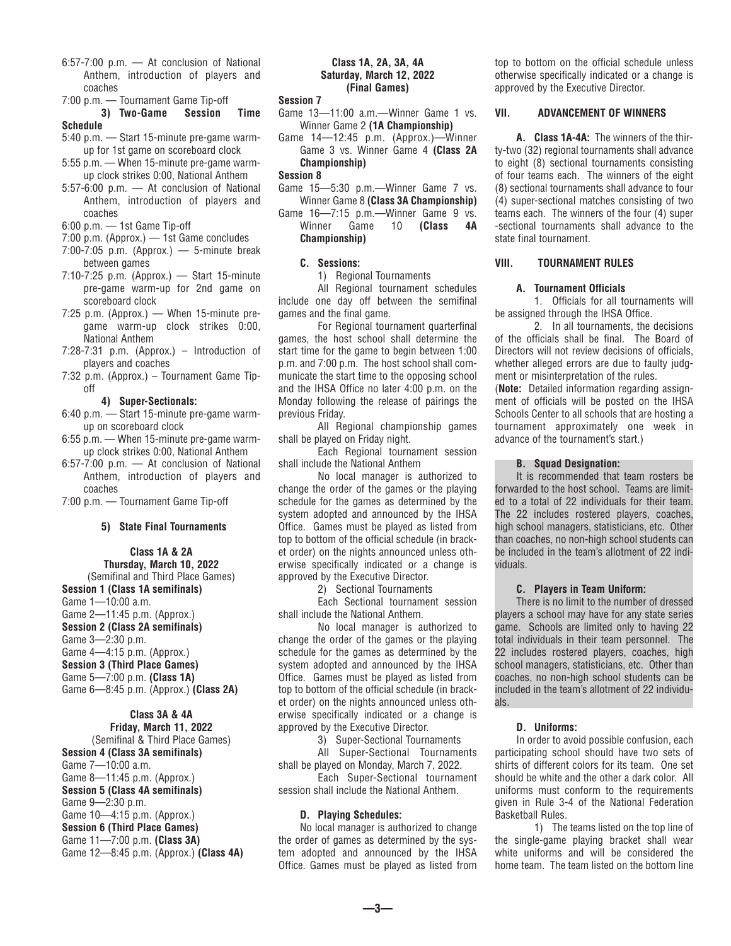- 6:57-7:00 p.m. At conclusion of National Anthem, introduction of players and coaches
- 7:00 p.m. Tournament Game Tip-off

 **3) Two-Game Session Time Schedule**

- 5:40 p.m. Start 15-minute pre-game warmup for 1st game on scoreboard clock
- 5:55 p.m. When 15-minute pre-game warmup clock strikes 0:00, National Anthem
- 5:57-6:00 p.m. At conclusion of National Anthem, introduction of players and coaches
- 6:00 p.m. 1st Game Tip-off
- 7:00 p.m. (Approx.) 1st Game concludes
- $7:00-7:05$  p.m. (Approx.) 5-minute break between games
- 7:10-7:25 p.m. (Approx.) Start 15-minute pre-game warm-up for 2nd game on scoreboard clock
- 7:25 p.m. (Approx.) When 15-minute pregame warm-up clock strikes 0:00, National Anthem
- 7:28-7:31 p.m. (Approx.) Introduction of players and coaches
- 7:32 p.m. (Approx.) Tournament Game Tipoff

## **4) Super-Sectionals:**

- 6:40 p.m. Start 15-minute pre-game warmup on scoreboard clock
- 6:55 p.m. When 15-minute pre-game warmup clock strikes 0:00, National Anthem
- 6:57-7:00 p.m. At conclusion of National Anthem, introduction of players and coaches
- 7:00 p.m. Tournament Game Tip-off

#### **5) State Final Tournaments**

#### **Class 1A & 2A Thursday, March 10, 2022** (Semifinal and Third Place Games)

**Session 1 (Class 1A semifinals)** Game 1—10:00 a.m. Game 2—11:45 p.m. (Approx.) **Session 2 (Class 2A semifinals)** Game 3—2:30 p.m. Game 4—4:15 p.m. (Approx.) **Session 3 (Third Place Games)** Game 5—7:00 p.m. **(Class 1A)** Game 6—8:45 p.m. (Approx.) **(Class 2A)**

#### **Class 3A & 4A Friday, March 11, 2022**

(Semifinal & Third Place Games) **Session 4 (Class 3A semifinals)** Game 7—10:00 a.m. Game 8—11:45 p.m. (Approx.) **Session 5 (Class 4A semifinals)** Game 9—2:30 p.m. Game 10—4:15 p.m. (Approx.) **Session 6 (Third Place Games)** Game 11—7:00 p.m. **(Class 3A)** Game 12—8:45 p.m. (Approx.) **(Class 4A)**

#### **Class 1A, 2A, 3A, 4A Saturday, March 12, 2022 (Final Games)**

#### **Session 7**

- Game 13—11:00 a.m.—Winner Game 1 vs. Winner Game 2 **(1A Championship)**
- Game 14—12:45 p.m. (Approx.)—Winner Game 3 vs. Winner Game 4 **(Class 2A Championship)**

#### **Session 8**

- Game 15—5:30 p.m.—Winner Game 7 vs. Winner Game 8 **(Class 3A Championship)**
- Game 16—7:15 p.m.—Winner Game 9 vs. Winner Game 10 **(Class 4A Championship)**

## **C. Sessions:**

1) Regional Tournaments

 All Regional tournament schedules include one day off between the semifinal games and the final game.

 For Regional tournament quarterfinal games, the host school shall determine the start time for the game to begin between 1:00 p.m. and 7:00 p.m. The host school shall communicate the start time to the opposing school and the IHSA Office no later 4:00 p.m. on the Monday following the release of pairings the previous Friday.

 All Regional championship games shall be played on Friday night.

 Each Regional tournament session shall include the National Anthem

 No local manager is authorized to change the order of the games or the playing schedule for the games as determined by the system adopted and announced by the IHSA Office. Games must be played as listed from top to bottom of the official schedule (in bracket order) on the nights announced unless otherwise specifically indicated or a change is approved by the Executive Director.

2) Sectional Tournaments

 Each Sectional tournament session shall include the National Anthem.

 No local manager is authorized to change the order of the games or the playing schedule for the games as determined by the system adopted and announced by the IHSA Office. Games must be played as listed from top to bottom of the official schedule (in bracket order) on the nights announced unless otherwise specifically indicated or a change is approved by the Executive Director.

3) Super-Sectional Tournaments

 All Super-Sectional Tournaments shall be played on Monday, March 7, 2022.

 Each Super-Sectional tournament session shall include the National Anthem.

#### **D. Playing Schedules:**

 No local manager is authorized to change the order of games as determined by the system adopted and announced by the IHSA Office. Games must be played as listed from top to bottom on the official schedule unless otherwise specifically indicated or a change is approved by the Executive Director.

## **VII. ADVANCEMENT OF WINNERS**

 **A. Class 1A-4A:** The winners of the thirty-two (32) regional tournaments shall advance to eight (8) sectional tournaments consisting of four teams each. The winners of the eight (8) sectional tournaments shall advance to four (4) super-sectional matches consisting of two teams each. The winners of the four (4) super -sectional tournaments shall advance to the state final tournament.

## **VIII. TOURNAMENT RULES**

## **A. Tournament Officials**

 1. Officials for all tournaments will be assigned through the IHSA Office.

 2. In all tournaments, the decisions of the officials shall be final. The Board of Directors will not review decisions of officials, whether alleged errors are due to faulty judgment or misinterpretation of the rules.

(**Note:** Detailed information regarding assignment of officials will be posted on the IHSA Schools Center to all schools that are hosting a tournament approximately one week in advance of the tournament's start.)

#### **B. Squad Designation:**

 It is recommended that team rosters be forwarded to the host school. Teams are limited to a total of 22 individuals for their team. The 22 includes rostered players, coaches, high school managers, statisticians, etc. Other than coaches, no non-high school students can be included in the team's allotment of 22 individuals.

#### **C. Players in Team Uniform:**

 There is no limit to the number of dressed players a school may have for any state series game. Schools are limited only to having 22 total individuals in their team personnel. The 22 includes rostered players, coaches, high school managers, statisticians, etc. Other than coaches, no non-high school students can be included in the team's allotment of 22 individuals.

#### **D. Uniforms:**

 In order to avoid possible confusion, each participating school should have two sets of shirts of different colors for its team. One set should be white and the other a dark color. All uniforms must conform to the requirements given in Rule 3-4 of the National Federation Basketball Rules.

 1) The teams listed on the top line of the single-game playing bracket shall wear white uniforms and will be considered the home team. The team listed on the bottom line

**—3—**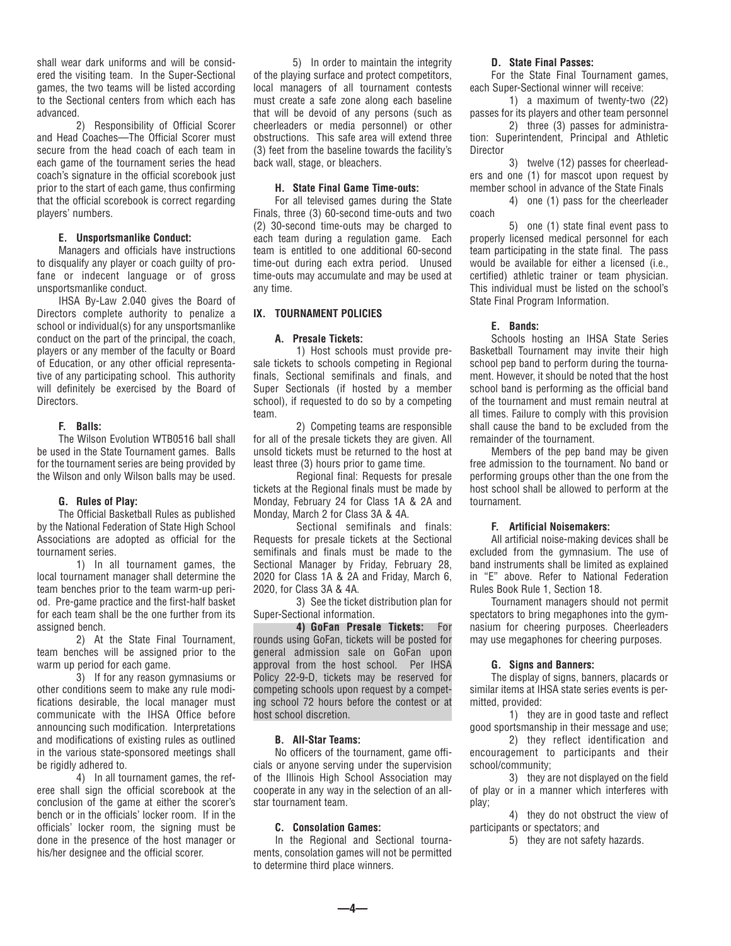shall wear dark uniforms and will be considered the visiting team. In the Super-Sectional games, the two teams will be listed according to the Sectional centers from which each has advanced.

 2) Responsibility of Official Scorer and Head Coaches—The Official Scorer must secure from the head coach of each team in each game of the tournament series the head coach's signature in the official scorebook just prior to the start of each game, thus confirming that the official scorebook is correct regarding players' numbers.

## **E. Unsportsmanlike Conduct:**

 Managers and officials have instructions to disqualify any player or coach guilty of profane or indecent language or of gross unsportsmanlike conduct.

 IHSA By-Law 2.040 gives the Board of Directors complete authority to penalize a school or individual(s) for any unsportsmanlike conduct on the part of the principal, the coach, players or any member of the faculty or Board of Education, or any other official representative of any participating school. This authority will definitely be exercised by the Board of Directors.

## **F. Balls:**

 The Wilson Evolution WTB0516 ball shall be used in the State Tournament games. Balls for the tournament series are being provided by the Wilson and only Wilson balls may be used.

#### **G. Rules of Play:**

 The Official Basketball Rules as published by the National Federation of State High School Associations are adopted as official for the tournament series.

 1) In all tournament games, the local tournament manager shall determine the team benches prior to the team warm-up period. Pre-game practice and the first-half basket for each team shall be the one further from its assigned bench.

 2) At the State Final Tournament, team benches will be assigned prior to the warm up period for each game.

 3) If for any reason gymnasiums or other conditions seem to make any rule modifications desirable, the local manager must communicate with the IHSA Office before announcing such modification. Interpretations and modifications of existing rules as outlined in the various state-sponsored meetings shall be rigidly adhered to.

 4) In all tournament games, the referee shall sign the official scorebook at the conclusion of the game at either the scorer's bench or in the officials' locker room. If in the officials' locker room, the signing must be done in the presence of the host manager or his/her designee and the official scorer.

 5) In order to maintain the integrity of the playing surface and protect competitors, local managers of all tournament contests must create a safe zone along each baseline that will be devoid of any persons (such as cheerleaders or media personnel) or other obstructions. This safe area will extend three (3) feet from the baseline towards the facility's back wall, stage, or bleachers.

## **H. State Final Game Time-outs:**

 For all televised games during the State Finals, three (3) 60-second time-outs and two (2) 30-second time-outs may be charged to each team during a regulation game. Each team is entitled to one additional 60-second time-out during each extra period. Unused time-outs may accumulate and may be used at any time.

#### **IX. TOURNAMENT POLICIES**

#### **A. Presale Tickets:**

1)Host schools must provide presale tickets to schools competing in Regional finals, Sectional semifinals and finals, and Super Sectionals (if hosted by a member school), if requested to do so by a competing team.

 2) Competing teams are responsible for all of the presale tickets they are given. All unsold tickets must be returned to the host at least three (3) hours prior to game time.

 Regional final: Requests for presale tickets at the Regional finals must be made by Monday, February 24 for Class 1A & 2A and Monday, March 2 for Class 3A & 4A.

 Sectional semifinals and finals: Requests for presale tickets at the Sectional semifinals and finals must be made to the Sectional Manager by Friday, February 28, 2020 for Class 1A & 2A and Friday, March 6, 2020, for Class 3A & 4A.

 3) See the ticket distribution plan for Super-Sectional information.

 **4) GoFan Presale Tickets:** For rounds using GoFan, tickets will be posted for general admission sale on GoFan upon approval from the host school. Per IHSA Policy 22-9-D, tickets may be reserved for competing schools upon request by a competing school 72 hours before the contest or at host school discretion.

#### **B. All-Star Teams:**

 No officers of the tournament, game officials or anyone serving under the supervision of the Illinois High School Association may cooperate in any way in the selection of an allstar tournament team.

## **C. Consolation Games:**

 In the Regional and Sectional tournaments, consolation games will not be permitted to determine third place winners.

#### **D. State Final Passes:**

 For the State Final Tournament games, each Super-Sectional winner will receive:

 1) a maximum of twenty-two (22) passes for its players and other team personnel

 2) three (3) passes for administration: Superintendent, Principal and Athletic Director

 3) twelve (12) passes for cheerleaders and one (1) for mascot upon request by member school in advance of the State Finals

 4) one (1) pass for the cheerleader coach

 5) one (1) state final event pass to properly licensed medical personnel for each team participating in the state final. The pass would be available for either a licensed (i.e., certified) athletic trainer or team physician. This individual must be listed on the school's State Final Program Information.

#### **E. Bands:**

 Schools hosting an IHSA State Series Basketball Tournament may invite their high school pep band to perform during the tournament. However, it should be noted that the host school band is performing as the official band of the tournament and must remain neutral at all times. Failure to comply with this provision shall cause the band to be excluded from the remainder of the tournament.

 Members of the pep band may be given free admission to the tournament. No band or performing groups other than the one from the host school shall be allowed to perform at the tournament.

#### **F. Artificial Noisemakers:**

 All artificial noise-making devices shall be excluded from the gymnasium. The use of band instruments shall be limited as explained in "E" above. Refer to National Federation Rules Book Rule 1, Section 18.

 Tournament managers should not permit spectators to bring megaphones into the gymnasium for cheering purposes. Cheerleaders may use megaphones for cheering purposes.

#### **G. Signs and Banners:**

 The display of signs, banners, placards or similar items at IHSA state series events is permitted, provided:

 1) they are in good taste and reflect good sportsmanship in their message and use;

 2) they reflect identification and encouragement to participants and their school/community;

 3) they are not displayed on the field of play or in a manner which interferes with play;

 4) they do not obstruct the view of participants or spectators; and

5) they are not safety hazards.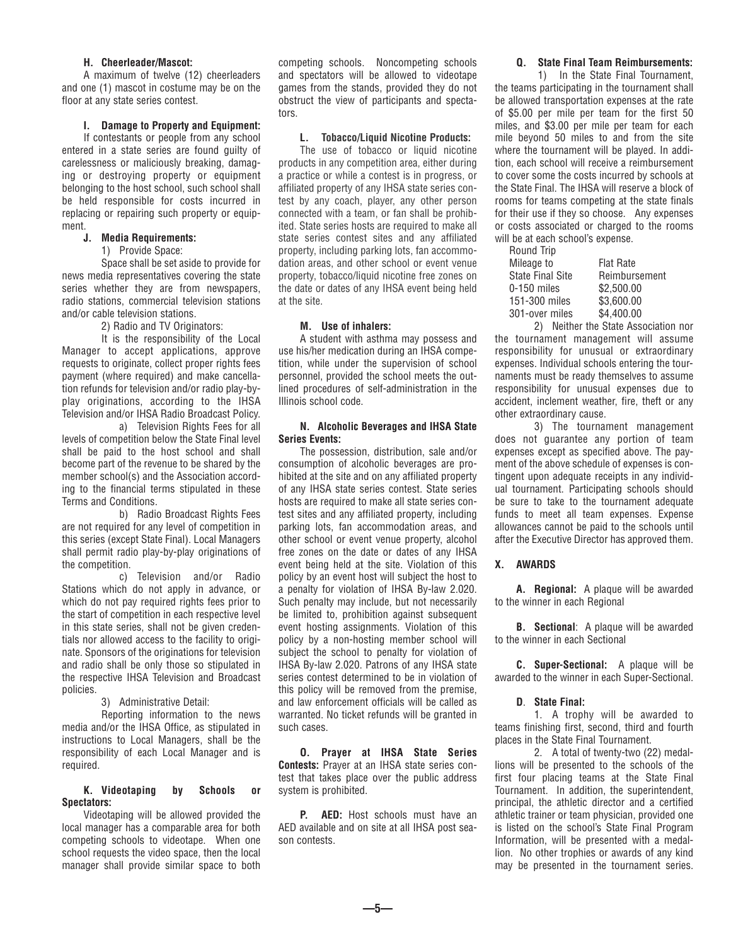#### **H. Cheerleader/Mascot:**

 A maximum of twelve (12) cheerleaders and one (1) mascot in costume may be on the floor at any state series contest.

#### **I. Damage to Property and Equipment:**

 If contestants or people from any school entered in a state series are found guilty of carelessness or maliciously breaking, damaging or destroying property or equipment belonging to the host school, such school shall be held responsible for costs incurred in replacing or repairing such property or equipment.

## **J. Media Requirements:**

#### 1) Provide Space:

 Space shall be set aside to provide for news media representatives covering the state series whether they are from newspapers, radio stations, commercial television stations and/or cable television stations.

2) Radio and TV Originators:

 It is the responsibility of the Local Manager to accept applications, approve requests to originate, collect proper rights fees payment (where required) and make cancellation refunds for television and/or radio play-byplay originations, according to the IHSA Television and/or IHSA Radio Broadcast Policy.

 a) Television Rights Fees for all levels of competition below the State Final level shall be paid to the host school and shall become part of the revenue to be shared by the member school(s) and the Association according to the financial terms stipulated in these Terms and Conditions.

 b) Radio Broadcast Rights Fees are not required for any level of competition in this series (except State Final). Local Managers shall permit radio play-by-play originations of the competition.

 c) Television and/or Radio Stations which do not apply in advance, or which do not pay required rights fees prior to the start of competition in each respective level in this state series, shall not be given credentials nor allowed access to the facility to originate. Sponsors of the originations for television and radio shall be only those so stipulated in the respective IHSA Television and Broadcast policies.

3) Administrative Detail:

 Reporting information to the news media and/or the IHSA Office, as stipulated in instructions to Local Managers, shall be the responsibility of each Local Manager and is required.

#### **K. Videotaping by Schools or Spectators:**

 Videotaping will be allowed provided the local manager has a comparable area for both competing schools to videotape. When one school requests the video space, then the local manager shall provide similar space to both

competing schools. Noncompeting schools and spectators will be allowed to videotape games from the stands, provided they do not obstruct the view of participants and spectators.

#### **L. Tobacco/Liquid Nicotine Products:**

 The use of tobacco or liquid nicotine products in any competition area, either during a practice or while a contest is in progress, or affiliated property of any IHSA state series contest by any coach, player, any other person connected with a team, or fan shall be prohibited. State series hosts are required to make all state series contest sites and any affiliated property, including parking lots, fan accommodation areas, and other school or event venue property, tobacco/liquid nicotine free zones on the date or dates of any IHSA event being held at the site.

#### **M. Use of inhalers:**

 A student with asthma may possess and use his/her medication during an IHSA competition, while under the supervision of school personnel, provided the school meets the outlined procedures of self-administration in the Illinois school code.

## **N. Alcoholic Beverages and IHSA State Series Events:**

 The possession, distribution, sale and/or consumption of alcoholic beverages are prohibited at the site and on any affiliated property of any IHSA state series contest. State series hosts are required to make all state series contest sites and any affiliated property, including parking lots, fan accommodation areas, and other school or event venue property, alcohol free zones on the date or dates of any IHSA event being held at the site. Violation of this policy by an event host will subject the host to a penalty for violation of IHSA By-law 2.020. Such penalty may include, but not necessarily be limited to, prohibition against subsequent event hosting assignments. Violation of this policy by a non-hosting member school will subject the school to penalty for violation of IHSA By-law 2.020. Patrons of any IHSA state series contest determined to be in violation of this policy will be removed from the premise, and law enforcement officials will be called as warranted. No ticket refunds will be granted in such cases.

 **O. Prayer at IHSA State Series Contests:** Prayer at an IHSA state series contest that takes place over the public address system is prohibited.

 **P. AED:** Host schools must have an AED available and on site at all IHSA post season contests.

## **Q. State Final Team Reimbursements:**

 1) In the State Final Tournament, the teams participating in the tournament shall be allowed transportation expenses at the rate of \$5.00 per mile per team for the first 50 miles, and \$3.00 per mile per team for each mile beyond 50 miles to and from the site where the tournament will be played. In addition, each school will receive a reimbursement to cover some the costs incurred by schools at the State Final. The IHSA will reserve a block of rooms for teams competing at the state finals for their use if they so choose. Any expenses or costs associated or charged to the rooms will be at each school's expense.

| <b>Flat Rate</b> |
|------------------|
| Reimbursement    |
| \$2,500.00       |
| \$3,600.00       |
| \$4,400.00       |
|                  |

 2) Neither the State Association nor the tournament management will assume responsibility for unusual or extraordinary expenses. Individual schools entering the tournaments must be ready themselves to assume responsibility for unusual expenses due to accident, inclement weather, fire, theft or any other extraordinary cause.

 3) The tournament management does not guarantee any portion of team expenses except as specified above. The payment of the above schedule of expenses is contingent upon adequate receipts in any individual tournament. Participating schools should be sure to take to the tournament adequate funds to meet all team expenses. Expense allowances cannot be paid to the schools until after the Executive Director has approved them.

#### **X. AWARDS**

 **A. Regional:** A plaque will be awarded to the winner in each Regional

 **B. Sectional**: A plaque will be awarded to the winner in each Sectional

 **C. Super-Sectional:** A plaque will be awarded to the winner in each Super-Sectional.

#### **D**. **State Final:**

 1. A trophy will be awarded to teams finishing first, second, third and fourth places in the State Final Tournament.

 2. A total of twenty-two (22) medallions will be presented to the schools of the first four placing teams at the State Final Tournament. In addition, the superintendent, principal, the athletic director and a certified athletic trainer or team physician, provided one is listed on the school's State Final Program Information, will be presented with a medallion. No other trophies or awards of any kind may be presented in the tournament series.

**—5—**